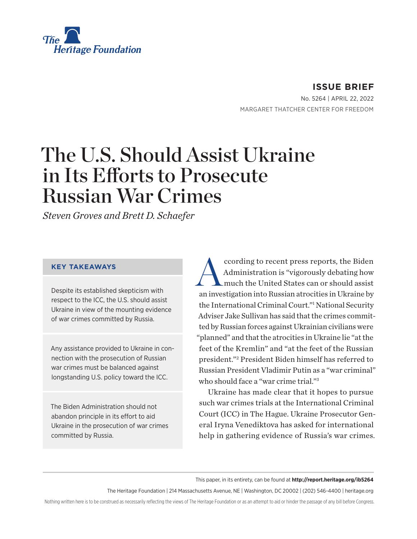<span id="page-0-0"></span>

**ISSUE BRIEF** No. 5264 | April 22, 2022 MARGARET THATCHER CENTER FOR FREEDOM

# The U.S. Should Assist Ukraine in Its Efforts to Prosecute Russian War Crimes

*Steven Groves and Brett D. Schaefer*

#### **KEY TAKEAWAYS**

Despite its established skepticism with respect to the ICC, the U.S. should assist Ukraine in view of the mounting evidence of war crimes committed by Russia.

Any assistance provided to Ukraine in connection with the prosecution of Russian war crimes must be balanced against longstanding U.S. policy toward the ICC.

The Biden Administration should not abandon principle in its effort to aid Ukraine in the prosecution of war crimes committed by Russia.

ccording to recent press reports, the Biden<br>Administration is "vigorously debating how<br>much the United States can or should assist Administration is "vigorously debating how much the United States can or should assist an investigation into Russian atrocities in Ukraine by the International Criminal Court.["1](#page-5-0) National Security Adviser Jake Sullivan has said that the crimes committed by Russian forces against Ukrainian civilians were "planned" and that the atrocities in Ukraine lie "at the feet of the Kremlin" and "at the feet of the Russian president.["2](#page-5-0) President Biden himself has referred to Russian President Vladimir Putin as a "war criminal" who should face a "war crime trial."[3](#page-5-0)

Ukraine has made clear that it hopes to pursue such war crimes trials at the International Criminal Court (ICC) in The Hague. Ukraine Prosecutor General Iryna Venediktova has asked for international help in gathering evidence of Russia's war crimes.

This paper, in its entirety, can be found at **http://report.heritage.org/ib5264**

The Heritage Foundation | 214 Massachusetts Avenue, NE | Washington, DC 20002 | (202) 546-4400 | [heritage.org](http://www.heritage.org)

Nothing written here is to be construed as necessarily reflecting the views of The Heritage Foundation or as an attempt to aid or hinder the passage of any bill before Congress.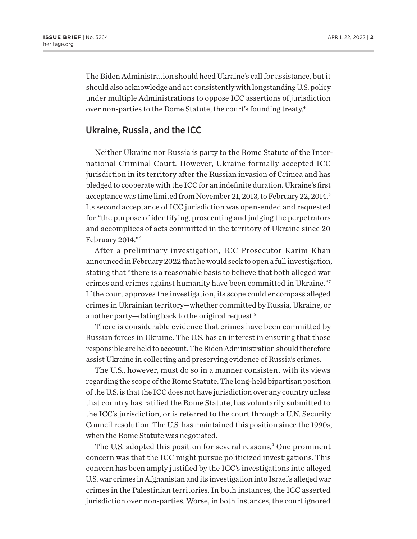<span id="page-1-0"></span>The Biden Administration should heed Ukraine's call for assistance, but it should also acknowledge and act consistently with longstanding U.S. policy under multiple Administrations to oppose ICC assertions of jurisdiction over non-parties to the Rome Statute, the court's founding treaty[.4](#page-5-0)

#### Ukraine, Russia, and the ICC

Neither Ukraine nor Russia is party to the Rome Statute of the International Criminal Court. However, Ukraine formally accepted ICC jurisdiction in its territory after the Russian invasion of Crimea and has pledged to cooperate with the ICC for an indefinite duration. Ukraine's first acceptance was time limited from November 21, 2013, to February 22, 2014.<sup>5</sup> Its second acceptance of ICC jurisdiction was open-ended and requested for "the purpose of identifying, prosecuting and judging the perpetrators and accomplices of acts committed in the territory of Ukraine since 20 February 2014."[6](#page-5-0)

After a preliminary investigation, ICC Prosecutor Karim Khan announced in February 2022 that he would seek to open a full investigation, stating that "there is a reasonable basis to believe that both alleged war crimes and crimes against humanity have been committed in Ukraine.["7](#page-5-0) If the court approves the investigation, its scope could encompass alleged crimes in Ukrainian territory—whether committed by Russia, Ukraine, or another party—dating back to the original request[.8](#page-5-0)

There is considerable evidence that crimes have been committed by Russian forces in Ukraine. The U.S. has an interest in ensuring that those responsible are held to account. The Biden Administration should therefore assist Ukraine in collecting and preserving evidence of Russia's crimes.

The U.S., however, must do so in a manner consistent with its views regarding the scope of the Rome Statute. The long-held bipartisan position of the U.S. is that the ICC does not have jurisdiction over any country unless that country has ratified the Rome Statute, has voluntarily submitted to the ICC's jurisdiction, or is referred to the court through a U.N. Security Council resolution. The U.S. has maintained this position since the 1990s, when the Rome Statute was negotiated.

The U.S. adopted this position for several reasons.<sup>[9](#page-5-0)</sup> One prominent concern was that the ICC might pursue politicized investigations. This concern has been amply justified by the ICC's investigations into alleged U.S. war crimes in Afghanistan and its investigation into Israel's alleged war crimes in the Palestinian territories. In both instances, the ICC asserted jurisdiction over non-parties. Worse, in both instances, the court ignored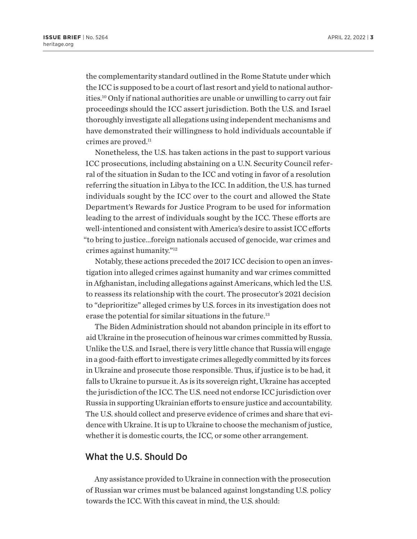<span id="page-2-0"></span>the complementarity standard outlined in the Rome Statute under which the ICC is supposed to be a court of last resort and yield to national authorities.[10](#page-5-0) Only if national authorities are unable or unwilling to carry out fair proceedings should the ICC assert jurisdiction. Both the U.S. and Israel thoroughly investigate all allegations using independent mechanisms and have demonstrated their willingness to hold individuals accountable if crimes are proved.<sup>[11](#page-5-0)</sup>

Nonetheless, the U.S. has taken actions in the past to support various ICC prosecutions, including abstaining on a U.N. Security Council referral of the situation in Sudan to the ICC and voting in favor of a resolution referring the situation in Libya to the ICC. In addition, the U.S. has turned individuals sought by the ICC over to the court and allowed the State Department's Rewards for Justice Program to be used for information leading to the arrest of individuals sought by the ICC. These efforts are well-intentioned and consistent with America's desire to assist ICC efforts "to bring to justice…foreign nationals accused of genocide, war crimes and crimes against humanity.["12](#page-5-0)

Notably, these actions preceded the 2017 ICC decision to open an investigation into alleged crimes against humanity and war crimes committed in Afghanistan, including allegations against Americans, which led the U.S. to reassess its relationship with the court. The prosecutor's 2021 decision to "deprioritize" alleged crimes by U.S. forces in its investigation does not erase the potential for similar situations in the future.<sup>[13](#page-5-0)</sup>

The Biden Administration should not abandon principle in its effort to aid Ukraine in the prosecution of heinous war crimes committed by Russia. Unlike the U.S. and Israel, there is very little chance that Russia will engage in a good-faith effort to investigate crimes allegedly committed by its forces in Ukraine and prosecute those responsible. Thus, if justice is to be had, it falls to Ukraine to pursue it. As is its sovereign right, Ukraine has accepted the jurisdiction of the ICC. The U.S. need not endorse ICC jurisdiction over Russia in supporting Ukrainian efforts to ensure justice and accountability. The U.S. should collect and preserve evidence of crimes and share that evidence with Ukraine. It is up to Ukraine to choose the mechanism of justice, whether it is domestic courts, the ICC, or some other arrangement.

### What the U.S. Should Do

Any assistance provided to Ukraine in connection with the prosecution of Russian war crimes must be balanced against longstanding U.S. policy towards the ICC. With this caveat in mind, the U.S. should: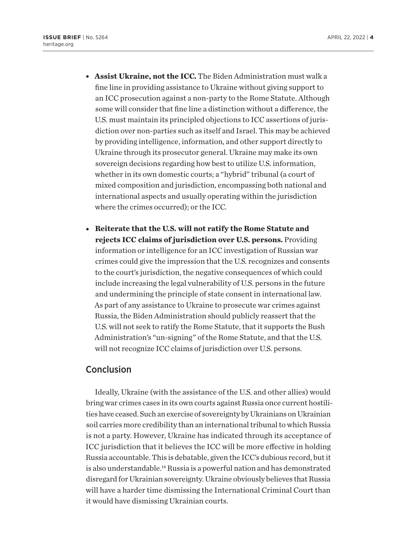- <span id="page-3-0"></span>**Assist Ukraine, not the ICC.** The Biden Administration must walk a fine line in providing assistance to Ukraine without giving support to an ICC prosecution against a non-party to the Rome Statute. Although some will consider that fine line a distinction without a difference, the U.S. must maintain its principled objections to ICC assertions of jurisdiction over non-parties such as itself and Israel. This may be achieved by providing intelligence, information, and other support directly to Ukraine through its prosecutor general. Ukraine may make its own sovereign decisions regarding how best to utilize U.S. information, whether in its own domestic courts; a "hybrid" tribunal (a court of mixed composition and jurisdiction, encompassing both national and international aspects and usually operating within the jurisdiction where the crimes occurred); or the ICC.
- **Reiterate that the U.S. will not ratify the Rome Statute and rejects ICC claims of jurisdiction over U.S. persons.** Providing information or intelligence for an ICC investigation of Russian war crimes could give the impression that the U.S. recognizes and consents to the court's jurisdiction, the negative consequences of which could include increasing the legal vulnerability of U.S. persons in the future and undermining the principle of state consent in international law. As part of any assistance to Ukraine to prosecute war crimes against Russia, the Biden Administration should publicly reassert that the U.S. will not seek to ratify the Rome Statute, that it supports the Bush Administration's "un-signing" of the Rome Statute, and that the U.S. will not recognize ICC claims of jurisdiction over U.S. persons.

## Conclusion

Ideally, Ukraine (with the assistance of the U.S. and other allies) would bring war crimes cases in its own courts against Russia once current hostilities have ceased. Such an exercise of sovereignty by Ukrainians on Ukrainian soil carries more credibility than an international tribunal to which Russia is not a party. However, Ukraine has indicated through its acceptance of ICC jurisdiction that it believes the ICC will be more effective in holding Russia accountable. This is debatable, given the ICC's dubious record, but it is also understandable.<sup>14</sup> Russia is a powerful nation and has demonstrated disregard for Ukrainian sovereignty. Ukraine obviously believes that Russia will have a harder time dismissing the International Criminal Court than it would have dismissing Ukrainian courts.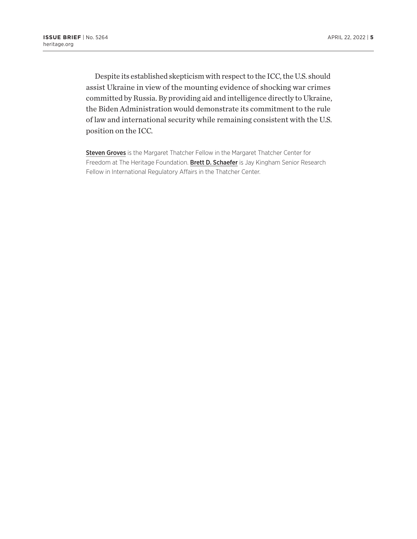Despite its established skepticism with respect to the ICC, the U.S. should assist Ukraine in view of the mounting evidence of shocking war crimes committed by Russia. By providing aid and intelligence directly to Ukraine, the Biden Administration would demonstrate its commitment to the rule of law and international security while remaining consistent with the U.S. position on the ICC.

Steven Groves is the Margaret Thatcher Fellow in the Margaret Thatcher Center for Freedom at The Heritage Foundation. Brett D. Schaefer is Jay Kingham Senior Research Fellow in International Regulatory Affairs in the Thatcher Center.